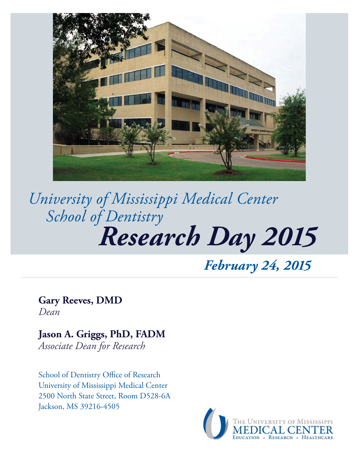

# *Research Day 2015 University of Mississippi Medical Center School of Dentistry*

*February 24, 2015*

**Gary Reeves, DMD** *Dean*

**Jason A. Griggs, PhD, FADM** *Associate Dean for Research*

School of Dentistry Office of Research University of Mississippi Medical Center 2500 North State Street, Room D528-6A Jackson, MS 39216-4505

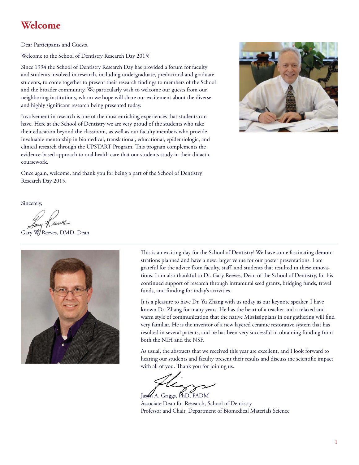## **Welcome**

Dear Participants and Guests,

Welcome to the School of Dentistry Research Day 2015!

Since 1994 the School of Dentistry Research Day has provided a forum for faculty and students involved in research, including undergraduate, predoctoral and graduate students, to come together to present their research findings to members of the School and the broader community. We particularly wish to welcome our guests from our neighboring institutions, whom we hope will share our excitement about the diverse and highly significant research being presented today.

Involvement in research is one of the most enriching experiences that students can have. Here at the School of Dentistry we are very proud of the students who take their education beyond the classroom, as well as our faculty members who provide invaluable mentorship in biomedical, translational, educational, epidemiologic, and clinical research through the UPSTART Program. This program complements the evidence-based approach to oral health care that our students study in their didactic coursework.



Once again, welcome, and thank you for being a part of the School of Dentistry Research Day 2015.

Sincerely,

my Keeves

Gary W/Reeves, DMD, Dean



This is an exciting day for the School of Dentistry! We have some fascinating demonstrations planned and have a new, larger venue for our poster presentations. I am grateful for the advice from faculty, staff, and students that resulted in these innovations. I am also thankful to Dr. Gary Reeves, Dean of the School of Dentistry, for his continued support of research through intramural seed grants, bridging funds, travel funds, and funding for today's activities.

It is a pleasure to have Dr. Yu Zhang with us today as our keynote speaker. I have known Dr. Zhang for many years. He has the heart of a teacher and a relaxed and warm style of communication that the native Mississippians in our gathering will find very familiar. He is the inventor of a new layered ceramic restorative system that has resulted in several patents, and he has been very successful in obtaining funding from both the NIH and the NSF.

As usual, the abstracts that we received this year are excellent, and I look forward to hearing our students and faculty present their results and discuss the scientific impact with all of you. Thank you for joining us.

Jason A. Griggs, PhD, FADM

Associate Dean for Research, School of Dentistry Professor and Chair, Department of Biomedical Materials Science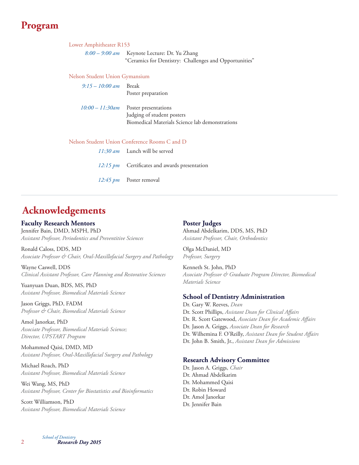## **Program**

Keynote Lecture: Dr. Yu Zhang "Ceramics for Dentistry: Challenges and Opportunities" *8:00 – 9:00 am* Lower Amphitheater R153

Nelson Student Union Gymansium

| $9:15 - 10:00$ am Break                       | Poster preparation                                                                                    |  |  |  |  |  |
|-----------------------------------------------|-------------------------------------------------------------------------------------------------------|--|--|--|--|--|
| 10:00 – 11:30am                               | Poster presentations<br>Judging of student posters<br>Biomedical Materials Science lab demonstrations |  |  |  |  |  |
| Nelson Student Union Conference Rooms C and D |                                                                                                       |  |  |  |  |  |
|                                               | $11:30 \text{ am}$ Lunch will be served                                                               |  |  |  |  |  |
|                                               | 12:15 $pm$ Certificates and awards presentation                                                       |  |  |  |  |  |

12:45 pm Poster removal

## **Acknowledgements**

## **Faculty Research Mentors**

Jennifer Bain, DMD, MSPH, PhD *Assistant Professor, Periodontics and Preventitive Sciences*

Ronald Caloss, DDS, MD *Associate Professor & Chair, Oral-Maxillofacial Surgery and Pathology* 

Wayne Caswell, DDS *Clinical Assistant Professor, Care Planning and Restorative Sciences*

Yuanyuan Duan, BDS, MS, PhD *Assistant Professor, Biomedical Materials Science*

Jason Griggs, PhD, FADM *Professor & Chair, Biomedical Materials Science*

Amol Janorkar, PhD *Associate Professor, Biomedical Materials Science; Director, UPSTART Program* 

Mohammed Qaisi, DMD, MD *Assistant Professor, Oral-Maxillofacial Surgery and Pathology*

Michael Roach, PhD *Assistant Professor, Biomedical Materials Science*

Wei Wang, MS, PhD *Assistant Professor, Center for Biostatistics and Bioinformatics*

Scott Williamson, PhD *Assistant Professor, Biomedical Materials Science*

### **Poster Judges**

Ahmad Abdelkarim, DDS, MS, PhD *Assistant Professor, Chair, Orthodontics*

Olga McDaniel, MD *Professor, Surgery*

Kenneth St. John, PhD *Associate Professor & Graduate Program Director, Biomedical Materials Science*

### **School of Dentistry Administration**

Dr. Gary W. Reeves, *Dean* Dr. Scott Phillips, Assistant Dean for Clinical Affairs Dr. R. Scott Gatewood, Associate Dean for Academic Affairs Dr. Jason A. Griggs, *Associate Dean for Research* Dr. Wilhemina F. O'Reilly, *Assistant Dean for Student Affairs* Dr. John B. Smith, Jr., *Assistant Dean for Admissions*

### **Research Advisory Committee**

Dr. Jason A. Griggs, *Chair* Dr. Ahmad Abdelkarim Dr. Mohammed Qaisi Dr. Robin Howard Dr. Amol Janorkar Dr. Jennifer Bain

*Research Day 2015 School of Dentistry*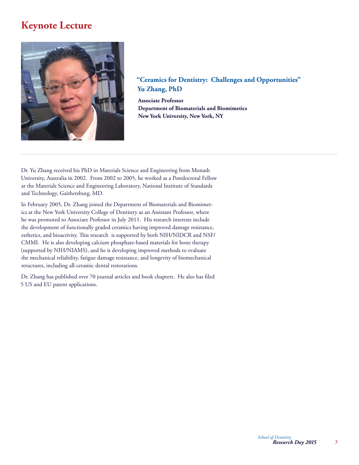## **Keynote Lecture**



## **"Ceramics for Dentistry: Challenges and Opportunities" Yu Zhang, PhD**

**Associate Professor Department of Biomaterials and Biomimetics New York University, New York, NY** 

Dr. Yu Zhang received his PhD in Materials Science and Engineering from Monash University, Australia in 2002. From 2002 to 2005, he worked as a Postdoctoral Fellow at the Materials Science and Engineering Laboratory, National Institute of Standards and Technology, Gaithersburg, MD.

In February 2005, Dr. Zhang joined the Department of Biomaterials and Biomimetics at the New York University College of Dentistry as an Assistant Professor, where he was promoted to Associate Professor in July 2011. His research interests include the development of functionally graded ceramics having improved damage resistance, esthetics, and bioactivity. This research is supported by both NIH/NIDCR and NSF/ CMMI. He is also developing calcium phosphate-based materials for bone therapy (supported by NIH/NIAMS), and he is developing improved methods to evaluate the mechanical reliability, fatigue damage resistance, and longevity of biomechanical structures, including all-ceramic dental restorations.

Dr. Zhang has published over 70 journal articles and book chapters. He also has filed 5 US and EU patent applications.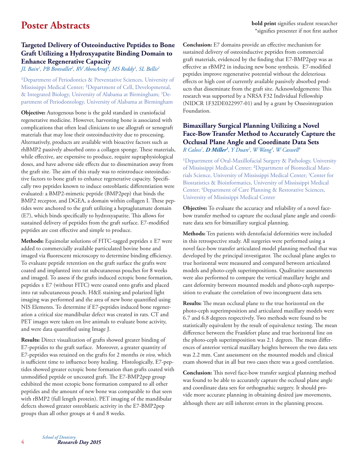## **Targeted Delivery of Osteoinductive Peptides to Bone Graft Utilizing a Hydroxyapatite Binding Domain to Enhance Regenerative Capacity**

*JL Bain1 , PB Bonvallet2 , RV AbouArraj3 , MS Reddy3 , SL Bellis2*

<sup>1</sup>Department of Periodontics & Preventative Sciences, University of Mississippi Medical Center; ²Department of Cell, Developmental, & Integrated Biology, University of Alabama at Birmingham; <sup>3</sup>Department of Periodontology, University of Alabama at Birmingham

**Objective:** Autogenous bone is the gold standard in craniofacial regenerative medicine. However, harvesting bone is associated with complications that often lead clinicians to use allograft or xenograft materials that may lose their osteoinductivity due to processing. Alternatively, products are available with bioactive factors such as rhBMP2 passively absorbed onto a collagen sponge. These materials, while effective, are expensive to produce, require supraphysiological doses, and have adverse side effects due to dissemination away from the graft site. The aim of this study was to reintroduce osteoinductive factors to bone graft to enhance regenerative capacity. Specifically two peptides known to induce osteoblastic differentiation were evaluated: a BMP2-mimetic peptide (BMP2pep) that binds the BMP2 receptor, and DGEA, a domain within collagen I. These peptides were anchored to the graft utilizing a heptaglutamate domain (E7), which binds specifically to hydroxyapatite. This allows for sustained delivery of peptides from the graft surface. E7-modified peptides are cost effective and simple to produce.

**Methods:** Equimolar solutions of FITC-tagged peptides ± E7 were added to commercially available particulated bovine bone and imaged via fluorescent microscopy to determine binding efficiency. To evaluate peptide retention on the graft surface the grafts were coated and implanted into rat subcutaneous pouches for 8 weeks and imaged. To assess if the grafts induced ectopic bone formation, peptides ± E7 (without FITC) were coated onto grafts and placed into rat subcutaneous pouch. H&E staining and polarized light imaging was performed and the area of new bone quantified using NIS Elements. To determine if E7-peptides induced bone regeneration a critical size mandibular defect was created in rats. CT and PET images were taken on live animals to evaluate bone activity, and were data quantified using Image J.

**Results:** Direct visualization of grafts showed greater binding of E7-peptides to the graft surface. Moreover, a greater quantity of E7-peptides was retained on the grafts for 2 months *in vivo,* which is sufficient time to influence bony healing. Histologically, E7-peptides showed greater ectopic bone formation than grafts coated with unmodified peptide or uncoated graft. The E7-BMP2pep group exhibited the most ectopic bone formation compared to all other peptides and the amount of new bone was comparable to that seen with rBMP2 (full length protein). PET imaging of the mandibular defects showed greater osteoblastic activity in the E7-BMP2pep groups than all other groups at 4 and 8 weeks.

**Conclusion:** E7 domains provide an effective mechanism for sustained delivery of osteoinductive peptides from commercial graft materials, evidenced by the finding that E7-BMP2pep was as effective as rBMP2 in inducing new bone synthesis. E7-modified peptides improve regenerative potential without the deleterious effects or high cost of currently available passively absorbed products that disseminate from the graft site. Acknowledgements: This research was supported by a NRSA F32 Individual Fellowship (NIDCR 1F32DE022997-01) and by a grant by Osseointegration Foundation.

## **Bimaxillary Surgical Planning Utilizing a Novel Face-Bow Transfer Method to Accurately Capture the Occlusal Plane Angle and Coordinate Data Sets** *R Caloss1 , D Miller1 , Y Duan2 , W Wang3 , W Caswell4*

<sup>1</sup>Department of Oral-Maxillofacial Surgery & Pathology, University of Mississippi Medical Center; ²Department of Biomedical Materials Science, University of Mississippi Medical Center; 3 Center for Biostatistics & Bioinformatics, University of Mississippi Medical Center; 4 Department of Care Planning & Restorative Sciences, University of Mississippi Medical Center

**Objective:** To evaluate the accuracy and reliability of a novel facebow transfer method to capture the occlusal plane angle and coordinate data sets for bimaxillary surgical planning.

**Methods:** Ten patients with dentofacial deformities were included in this retrospective study. All surgeries were performed using a novel face-bow transfer articulated model planning method that was developed by the principal investigator. The occlusal plane angles to true horizontal were measured and compared between articulated models and photo-ceph superimpositions. Qualitative assessments were also performed to compare the vertical maxillary height and cant deformity between mounted models and photo-ceph superposition to evaluate the correlation of two incongruent data sets*.*

**Results:** The mean occlusal plane to the true horizontal on the photo-ceph superimposition and articulated maxillary models were 6.7 and 6.8 degrees respectively. Two methods were found to be statistically equivalent by the result of equivalence testing. The mean difference between the Frankfort plane and true horizontal line on the photo-ceph superimposition was 2.1 degrees. The mean differences of anterior vertical maxillary heights between the two data sets was 2.2 mm. Cant assessment on the mounted models and clinical exam showed that in all but two cases there was a good correlation.

**Conclusion:** This novel face-bow transfer surgical planning method was found to be able to accurately capture the occlusal plane angle and coordinate data sets for orthognathic surgery. It should provide more accurate planning in obtaining desired jaw movements, although there are still inherent errors in the planning process.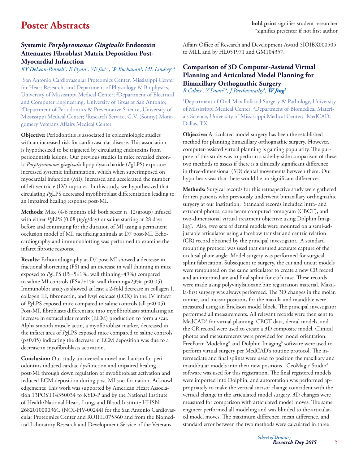## **Systemic** *Porphyromonas Gingivalis* **Endotoxin Attenuates Fibroblast Matrix Deposition Post-Myocardial Infarction**

*KY DeLeon-Pennell1 , E Flynn1 , YF Jin1,2, W Buchanan3 , ML Lindsey1,4*

1 San Antonio Cardiovascular Proteomics Center, Mississippi Center for Heart Research, and Department of Physiology & Biophysics, University of Mississippi Medical Center; <sup>2</sup>Department of Electrical and Computer Engineering, University of Texas at San Antonio; 3 Department of Periodontics & Preventative Science, University of Mississippi Medical Center; 4 Research Service, G.V. (Sonny) Montgomery Veterans Affairs Medical Center

**Objective:** Periodontitis is associated in epidemiologic studies with an increased risk for cardiovascular disease. This association is hypothesized to be triggered by circulating endotoxins from periodontitis lesions. Our previous studies in mice revealed chronic *Porphyromonas gingivalis* lipopolysaccharide (*Pg*LPS) exposure increased systemic inflammation, which when superimposed on myocardial infarction (MI), increased and accelerated the number of left ventricle (LV) ruptures. In this study, we hypothesized that circulating *Pg*LPS decreased myofibroblast differentiation leading to an impaired healing response post-MI.

**Methods:** Mice (4-6 months old; both sexes; n=12/group) infused with either *PgLPS* (0.08  $\mu$ g/g/day) or saline starting at 28 days before and continuing for the duration of MI using a permanent occlusion model of MI, sacrificing animals at D7 post-MI. Echocardiography and immunoblotting was performed to examine the infarct fibrotic response.

**Results:** Echocardiography at D7 post-MI showed a decrease in fractional shortening (FS) and an increase in wall thinning in mice exposed to *Pg*LPS (FS=5±1%; wall thinning=49%) compared to saline MI controls (FS=7±1%; wall thinning=23%;  $p \le 0.05$ ). Immunoblot analysis showed at least a 2-fold decrease in collagen I, collagen III, fibronectin, and lysyl oxidase (LOX) in the LV infarct of *Pg*LPS exposed mice compared to saline controls (all p≤0.05). Post-MI, fibroblasts differentiate into myofibroblasts stimulating an increase in extracellular matrix (ECM) production to form a scar. Alpha smooth muscle actin, a myofibroblast marker, decreased in the infarct area of *Pg*LPS exposed mice compared to saline controls (p≤0.05) indicating the decrease in ECM deposition was due to a decrease in myofibroblasts activation.

**Conclusion:** Our study uncovered a novel mechanism for periodontitis induced cardiac dysfunction and impaired healing post-MI through down regulation of myofibroblast activation and reduced ECM deposition during post-MI scar formation. Acknowledgements: This work was supported by American Heart Association 13POST14350034 to KYD-P and by the National Institute of Health/National Heart, Lung, and Blood Institute HHSN 268201000036C (NOI-HV-00244) for the San Antonio Cardiovascular Proteomics Center and ROIHL075360 and from the Biomedical Laboratory Research and Development Service of the Veterans

Affairs Office of Research and Development Award 5IOIBX000505 to MLL and by HL051971 and GM104357.

## **Comparison of 3D Computer-Assisted Virtual Planning and Articulated Model Planning for Bimaxillary Orthognathic Surgery**

*R Caloss1 , Y Duan2 \*, J Parthasarathy3 , W Jing1*

1 Department of Oral-Maxillofacial Surgery & Pathology, University of Mississippi Medical Center; 2 Department of Biomedical Materials Science, University of Mississippi Medical Center; 3 MedCAD, Dallas, TX

**Objective:** Articulated model surgery has been the established method for planning bimaxillary orthognathic surgery. However, computer-assisted virtual planning is gaining popularity. The purpose of this study was to perform a side-by-side comparison of these two methods to assess if there is a clinically significant difference in three-dimensional (3D) dental movements between them. Our hypothesis was that there would be no significant difference.

**Methods:** Surgical records for this retrospective study were gathered for ten patients who previously underwent bimaxillary orthognathic surgery at our institution. Standard records included intra- and extraoral photos, cone beam computed tomogram (CBCT), and two-dimensional virtual treatment objective using Dolphin Imaging®. Also, two sets of dental models were mounted on a semi-adjustable articulator using a facebow transfer and centric relation (CR) record obtained by the principal investigator. A standard mounting protocol was used that ensured accurate capture of the occlusal plane angle. Model surgery was performed for surgical splint fabrication. Subsequent to surgery, the cut and uncut models were remounted on the same articulator to create a new CR record and an intermediate and final splint for each case. These records were made using polyvinylsiloxane bite registration material. Maxilla-first surgery was always performed. The 3D changes in the molar, canine, and incisor positions for the maxilla and mandible were measured using an Erickson model block. The principal investigator performed all measurements. All relevant records were then sent to MedCAD® for virtual planning. CBCT data, dental models, and the CR record were used to create a 3D composite model. Clinical photos and measurements were provided for model orientation. FreeForm Modeling® and Dolphin Imaging® software were used to perform virtual surgery per MedCAD's routine protocol. The intermediate and final splints were used to position the maxillary and mandibular models into their new positions. GeoMagic Studio® software was used for this registration. The final registered models were imported into Dolphin, and autorotation was performed appropriately to make the vertical incisor change coincident with the vertical change in the articulated model surgery. 3D changes were measured for comparison with articulated model moves. The same engineer performed all modeling and was blinded to the articulated model moves. The maximum difference, mean difference, and standard error between the two methods were calculated in three

5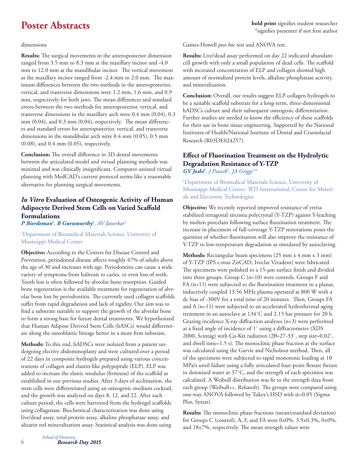**Poster Abstracts bold print** signifies student researcher \*signifies presenter if not first author

dimensions

**Results:** The surgical movements in the anteroposterior dimension ranged from 3.5 mm to 8.3 mm at the maxillary incisor and -4.0 mm to 12.0 mm at the mandibular incisor. The vertical movement at the maxillary incisor ranged from -2.4 mm to 2.0 mm. The maximum differences between the two methods in the anteroposterior, vertical, and transverse dimensions were 1.2 mm, 1.6 mm, and 0.9 mm, respectively for both jaws. The mean differences and standard errors between the two methods for anteroposterior, vertical, and transverse dimensions in the maxillary arch were 0.4 mm (0.04), 0.3 mm  $(0.04)$ , and  $0.3$  mm  $(0.04)$ , respectively. The mean differences and standard errors for anteroposterior, vertical, and transverse dimensions in the mandibular arch were 0.4 mm (0.05), 0.5 mm (0.08), and 0.4 mm (0.05), respectively.

**Conclusion:** The overall difference in 3D dental movements between the articulated model and virtual planning methods was minimal and was clinically insignificant. Computer-assisted virtual planning with MedCAD's current protocol seems like a reasonable alternative for planning surgical movements.

## *In Vitro* **Evaluation of Osteogenic Activity of Human Adipocyte Derived Stem Cells on Varied Scaffold Formulations**

*P Bierdeman1 , B Gurumurthy1 , AV Janorkar1*

1 Department of Biomedical Materials Science, University of Mississippi Medical Center

**Objective:** According to the Centers for Disease Control and Prevention, periodontal disease affects roughly 47% of adults above the age of 30 and increases with age. Periodontitis can cause a wide variety of symptoms from halitosis to caries, or even loss of teeth. Tooth loss is often followed by alveolar bone resorption. Guided bone regeneration is the available treatment for regeneration of alveolar bone lost by periodontitis. The currently used collagen scaffolds suffer from rapid degradation and lack of rigidity. Our aim was to find a substrate suitable to support the growth of the alveolar bone to form a strong base for future dental treatments. We hypothesized that Human Adipose Derived Stem Cells (hASCs) would differentiate along the osteoblastic lineage better in a more firm substrate.

**Methods:** To this end, hADSCs were isolated from a patient undergoing elective abdominoplasty and were cultured over a period of 22 days in composite hydrogels prepared using various concentrations of collagen and elastin-like polypeptide (ELP). ELP was added to increase the elastic modulus (firmness) of the scaffold as established in our previous studies. After 3 days of acclimation, the stem cells were differentiated using an osteogenic medium cocktail, and the growth was analyzed on days 8, 12, and 22. After each culture period, the cells were harvested from the hydrogel scaffolds using collagenase. Biochemical characterization was done using live/dead assay, total protein assay, alkaline phosphatase assay, and alizarin red mineralization assay. Statistical analysis was done using

**Results:** Live/dead assay performed on day 22 indicated abundant cell growth with only a small population of dead cells. The scaffold with increased concentration of ELP and collagen showed high amount of normalized protein levels, alkaline phosphatase activity, and mineralization.

**Conclusion:** Overall, our results suggest ELP-collagen hydrogels to be a suitable scaffold substrate for a long-term, three-dimensional hADSCs culture and their subsequent osteogenic differentiation. Further studies are needed to know the efficiency of these scaffolds for their use in bone tissue engineering. Supported by the National Institutes of Health/National Institute of Dental and Craniofacial Research (R03DE024257).

## **Effect of Fluorination Treatment on the Hydrolytic Degradation Resistance of Y-TZP** *GV Joshi1 , J Piascik2 , JA Griggs1 \**

1 Department of Biomedical Materials Science, University of Mississippi Medical Center; 2 RTI International, Center for Materials and Electronic Technologies

**Objective:** We recently reported improved resistance of yttriastabilized tetragonal zirconia polycrystal (Y-TZP) against Y-leaching by molten porcelain following surface fluorination treatment. The increase in placement of full-coverage Y-TZP restorations poses the question of whether fluorination will also improve the resistance of Y-TZP to low-temperature degradation as simulated by autoclaving.

**Methods:** Rectangular beam specimens (25 mm x 4 mm x 3 mm) of Y-TZP (IPS e.max ZirCAD, Ivoclar Vivadent) were fabricated. The specimens were polished to a 15-µm surface finish and divided into three groups. Group C (n=10) were controls. Groups F and  $FA$  (n=11) were subjected to the fluorination treatment in a planar, inductively coupled 13.56 MHz plasma operated at 800 W with a dc bias of -300V for a total time of 20 minutes. Then, Groups FA and A (n=11) were subjected to an accelerated hydrothermal aging treatment in an autoclave at 134˚C and 2.15 bar pressure for 20 h. Grazing incidence X-ray diffraction analyses (n=3) were performed at a fixed angle of incidence of 1° using a diffractometer (XDS 2000, Scintag) with Cu-K $\alpha$  radiation (20=27-33°, step size=0.02°, and dwell time= $1.5$  s). The monoclinic phase fraction at the surface was calculated using the Garvie and Nicholson method. Then, all of the specimens were subjected to rapid monotonic loading at 10 MPa/s until failure using a fully articulated four-point flexure fixture in deionized water at 37˚C, and the strength of each specimen was calculated. A Weibull distribution was fit to the strength data from each group (Weibull++, Reliasoft). The groups were compared using one-way ANOVA followed by Tukey's HSD with  $\alpha$ =0.05 (Sigma-Plot, Systat).

Results: The monoclinic phase fractions (mean±standard deviation) for Groups C (control), A, F, and FA were 0±0%, 3.9±0.3%, 0±0%, and  $18\pm7\%$ , respectively. The mean strength values were

6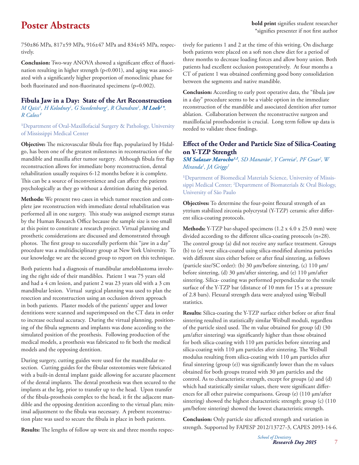**Poster Abstracts bold print** signifies student researcher \*signifies presenter if not first author

750±86 MPa, 817±59 MPa, 916±47 MPa and 834±45 MPa, respectively.

**Conclusion:** Two-way ANOVA showed a significant effect of fluorination resulting in higher strength (p<0.001), and aging was associated with a significantly higher proportion of monoclinic phase for both fluorinated and non-fluorinated specimens (p=0.002).

## **Fibula Jaw in a Day: State of the Art Reconstruction**

*M* Qaisi<sup>1</sup>, *H* Kolodney<sup>1</sup>, G Swedenburg<sup>1</sup>, R Chandran<sup>1</sup>, **M Loeb<sup>1\*</sup>**,  $R$  Caloss<sup>1</sup>

<sup>1</sup>Department of Oral-Maxillofacial Surgery & Pathology, University of Mississippi Medical Center

**Objective:** The microvascular fibula free flap, popularized by Hidalgo, has been one of the greatest milestones in reconstruction of the mandible and maxilla after tumor surgery. Although fibula free flap reconstruction allows for immediate bony reconstruction, dental rehabilitation usually requires 6-12 months before it is complete. This can be a source of inconvenience and can affect the patients psychologically as they go without a dentition during this period.

**Methods:** We present two cases in which tumor resection and complete jaw reconstruction with immediate dental rehabilitation was performed all in one surgery. This study was assigned exempt status by the Human Research Office because the sample size is too small at this point to constitute a research project. Virtual planning and prosthetic considerations are discussed and demonstrated through photos. The first group to successfully perform this "jaw in a day" procedure was a multidisciplinary group at New York University. To our knowledge we are the second group to report on this technique.

Both patients had a diagnosis of mandibular ameloblastoma involving the right side of their mandibles. Patient 1 was 75 years old and had a 4 cm lesion, and patient 2 was 23 years old with a 3 cm mandibular lesion. Virtual surgical planning was used to plan the resection and reconstruction using an occlusion driven approach in both patients. Plaster models of the patients' upper and lower dentitions were scanned and superimposed on the CT data in order to increase occlusal accuracy. During the virtual planning, positioning of the fibula segments and implants was done according to the simulated position of the prosthesis. Following production of the medical models, a prosthesis was fabricated to fit both the medical models and the opposing dentition.

During surgery, cutting guides were used for the mandibular resection. Cutting guides for the fibular osteotomies were fabricated with a built-in dental implant guide allowing for accurate placement of the dental implants. The dental prosthesis was then secured to the implants at the leg, prior to transfer up to the head. Upon transfer of the fibula-prosthesis complex to the head, it fit the adjacent mandible and the opposing dentition according to the virtual plan; minimal adjustment to the fibula was necessary. A prebent reconstruction plate was used to secure the fibula in place in both patients.

**Results:** The lengths of follow up were six and three months respec-

tively for patients 1 and 2 at the time of this writing. On discharge both patients were placed on a soft non chew diet for a period of three months to decrease loading forces and allow bony union. Both patients had excellent occlusion postoperatively. At four months a CT of patient 1 was obtained confirming good bony consolidation between the segments and native mandible.

**Conclusion:** According to early post operative data, the "fibula jaw in a day" procedure seems to be a viable option in the immediate reconstruction of the mandible and associated dentition after tumor ablation. Collaboration between the reconstructive surgeon and maxillofacial prosthodontist is crucial. Long term follow up data is needed to validate these findings.

## **Eff ect of the Order and Particle Size of Silica-Coating on Y-TZP Strength**

 $SM$  Salazar Marocho<sup>1,2</sup>, SD Manarão<sup>2</sup>, Y Correia<sup>2</sup>, PF Cesar<sup>2</sup>, W *Miranda1 , JA Griggs1*

<sup>1</sup>Department of Biomedical Materials Science, University of Mississippi Medical Center; 2 Department of Biomaterials & Oral Biology, University of São Paulo

Objectives: To determine the four-point flexural strength of an yttrium stabilized zirconia polycrystal (Y-TZP) ceramic after different silica-coating protocols.

**Methods:** Y-TZP bar-shaped specimens (1.2 x 4.0 x 25.0 mm) were divided according to the different silica-coating protocols  $(n=28)$ . The control group (a) did not receive any surface treatment. Groups (b) to (e) were silica-coated using silica-modified alumina particles with different sizes either before or after final sintering, as follows (particle size/SC order): (b) 30 μm/before sintering, (c) 110 μm/ before sintering, (d) 30 μm/after sintering, and (e) 110 μm/after sintering. Silica- coating was performed perpendicular to the tensile surface of the Y-TZP bar (distance of 10 mm for 15 s at a pressure of 2.8 bars). Flexural strength data were analyzed using Weibull statistics.

Results: Silica-coating the Y-TZP surface either before or after final sintering resulted in statistically similar Weibull moduli, regardless of the particle sized used. The m value obtained for group (d)  $(30)$ μm/after sintering) was significantly higher than those obtained for both silica-coating with 110 μm particles before sintering and silica-coating with 110 μm particles after sintering. The Weibull modulus resulting from silica-coating with 110 μm particles after final sintering (group (e)) was significantly lower than the m values obtained for both groups treated with 30 μm particles and the control. As to characteristic strength, except for groups (a) and (d) which had statistically similar values, there were significant differences for all other pairwise comparisons. Group (e) (110 μm/after sintering) showed the highest characteristic strength; group (c) (110 μm/before sintering) showed the lowest characteristic strength.

**Conclusion:** Only particle size affected strength and variation in strength. Supported by FAPESP 2012/13727-3, CAPES 2093-14-6.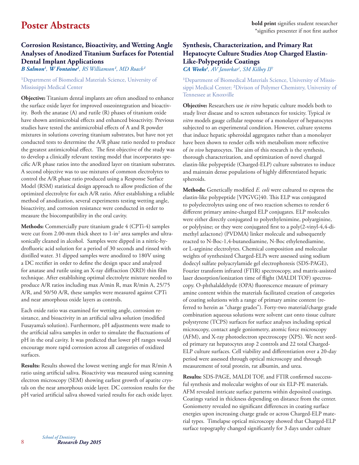## **Corrosion Resistance, Bioactivity, and Wetting Angle Analyses of Anodized Titanium Surfaces for Potential Dental Implant Applications**

 $\bm{B}$  Salmon<sup>1</sup>, W Fontaine<sup>1</sup>, RS Williamson<sup>1</sup>, MD Roach<sup>1</sup>

### <sup>1</sup>Department of Biomedical Materials Science, University of Mississippi Medical Center

**Objective:** Titanium dental implants are often anodized to enhance the surface oxide layer for improved osseointegration and bioactivity. Both the anatase (A) and rutile (R) phases of titanium oxide have shown antimicrobial effects and enhanced bioactivity. Previous studies have tested the antimicrobial effects of A and R powder mixtures in solutions covering titanium substrates, but have not yet conducted tests to determine the A/R phase ratio needed to produce the greatest antimicrobial effect. The first objective of the study was to develop a clinically relevant testing model that incorporates specific A/R phase ratios into the anodized layer on titanium substrates. A second objective was to use mixtures of common electrolytes to control the A/R phase ratio produced using a Response Surface Model (RSM) statistical design approach to allow prediction of the optimized electrolyte for each A/R ratio. After establishing a reliable method of anodization, several experiments testing wetting angle, bioactivity, and corrosion resistance were conducted in order to measure the biocompatibility in the oral cavity.

**Methods:** Commercially pure titanium grade 4 (CPTi-4) samples were cut from 2.00-mm thick sheet to 1-in<sup>2</sup> area samples and ultrasonically cleaned in alcohol. Samples were dipped in a nitric-hydrofluoric acid solution for a period of 30 seconds and rinsed with distilled water. 31 dipped samples were anodized to 180V using a DC rectifier in order to define the design space and analyzed for anatase and rutile using an X-ray diffraction (XRD) thin film technique. After establishing optimal electrolyte mixture needed to produce A/R ratios including max A/min R, max R/min A, 25/75 A/R, and 50/50 A/R, these samples were measured against CPTi and near amorphous oxide layers as controls.

Each oxide ratio was examined for wetting angle, corrosion resistance, and bioactivity in an artificial saliva solution (modified Fusayama's solution). Furthermore, pH adjustments were made to the artificial saliva samples in order to simulate the fluctuations of pH in the oral cavity. It was predicted that lower pH ranges would encourage more rapid corrosion across all categories of oxidized surfaces.

**Results:** Results showed the lowest wetting angle for max R/min A ratio using artificial saliva. Bioactivity was measured using scanning electron microscopy (SEM) showing earliest growth of apatite crystals on the near amorphous oxide layer. DC corrosion results for the pH varied artificial saliva showed varied results for each oxide layer.

## **Synthesis, Characterization, and Primary Rat Hepatocyte Culture Studies Atop Charged Elastin-Like-Polypeptide Coatings**

*CA Weeks1 , AV Janorkar1 , SM Kilbey II2*

<sup>1</sup>Department of Biomedical Materials Science, University of Mississippi Medical Center; <sup>2</sup>Divison of Polymer Chemistry, University of Tennessee at Knoxville

**Objective:** Researchers use *in vitro* hepatic culture models both to study liver disease and to screen substances for toxicity. Typical *in vitro* models gauge cellular response of a monolayer of hepatocytes subjected to an experimental condition. However, culture systems that induce hepatic spheroidal aggregates rather than a monolayer have been shown to render cells with metabolism more reflective of *in vivo* hepatocytes. The aim of this research is the synthesis, thorough characterization, and optimization of novel charged elastin-like polypeptide (Charged-ELP) culture substrates to induce and maintain dense populations of highly differentiated hepatic spheroids.

**Methods:** Genetically modified *E. coli* were cultured to express the elastin-like polypeptide [VPGVG]40. This ELP was conjugated to polyelectrolytes using one of two reaction schemes to render 6 different primary amine-charged ELP conjugates. ELP molecules were either directly conjugated to polyethylenimine, polyarginine, or polylysine; or they were conjugated first to a poly(2-vinyl-4,4-dimethyl azlactone) (PVDMA) linker molecule and subsequently reacted to N-Boc-1,4-butanediamine, N-Boc ethylenediamine, or L-arginine electrolytes. Chemical composition and molecular weights of synthesized Charged-ELPs were assessed using sodium dodecyl sulfate polyacrylamide gel electrophoresis (SDS-PAGE), Fourier transform infrared (FTIR) spectroscopy, and matrix-assisted laser desorption/ionization time of flight (MALDI TOF) spectroscopy. O-phthalaldehyde (OPA) fluorescence measure of primary amine content within the materials facilitated creation of categories of coating solutions with a range of primary amine content (referred to herein as "charge grades"). Forty-two material/charge grade combination aqueous solutions were solvent cast onto tissue culture polystyrene (TCPS) surfaces for surface analyses including optical microscopy, contact angle goniometry, atomic force microscopy (AFM), and X-ray photoelectron spectroscopy (XPS). We next seeded primary rat hepatocytes atop 2 controls and 22 total Charged-ELP culture surfaces. Cell viability and differentiation over a 20-day period were assessed through optical microscopy and through measurement of total protein, rat albumin, and urea.

Results: SDS-PAGE, MALDI TOF, and FTIR confirmed successful synthesis and molecular weights of our six ELP-PE materials. AFM revealed intricate surface patterns within deposited coatings. Coatings varied in thickness depending on distance from the center. Goniometry revealed no significant differences in coating surface energies upon increasing charge grade or across Charged-ELP material types. Timelapse optical microscopy showed that Charged-ELP surface topography changed significantly for 3 days under culture

*Research Day 2015 School of Dentistry*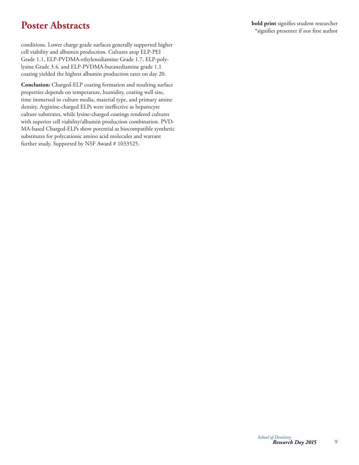**Poster Abstracts bold print** signifies student researcher \*signifies presenter if not first author

conditions. Lower charge grade surfaces generally supported higher cell viability and albumin production. Cultures atop ELP-PEI Grade 1.1, ELP-PVDMA-ethylenediamine Grade 1.7, ELP-polylysine Grade 3.4, and ELP-PVDMA-butanediamine grade 1.1 coating yielded the highest albumin production rates on day 20.

**Conclusion:** Charged-ELP coating formation and resulting surface properties depends on temperature, humidity, coating well size, time immersed in culture media, material type, and primary amine density. Arginine-charged ELPs were ineffective as hepatocyte culture substrates, while lysine-charged coatings rendered cultures with superior cell viability/albumin production combination. PVD-MA-based Charged-ELPs show potential as biocompatible synthetic substitutes for polycationic amino acid molecules and warrant further study. Supported by NSF Award # 1033525.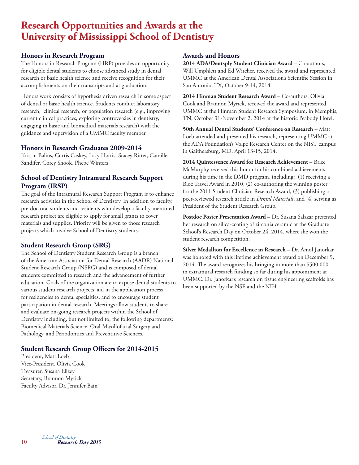## **Research Opportunities and Awards at the University of Mississippi School of Dentistry**

## **Honors in Research Program**

The Honors in Research Program (HRP) provides an opportunity for eligible dental students to choose advanced study in dental research or basic health science and receive recognition for their accomplishments on their transcripts and at graduation.

Honors work consists of hypothesis driven research in some aspect of dental or basic health science. Students conduct laboratory research, clinical research, or population research (e.g., improving current clinical practices, exploring controversies in dentistry, engaging in basic and biomedical materials research) with the guidance and supervision of a UMMC faculty member.

### **Honors in Research Graduates 2009-2014**

Kristin Balius, Curtis Caskey, Lacy Harris, Stacey Ritter, Camille Sandifer, Corey Shook, Phebe Winters

## **School of Dentistry Intramural Research Support Program (IRSP)**

The goal of the Intramural Research Support Program is to enhance research activities in the School of Dentistry. In addition to faculty, pre-doctoral students and residents who develop a faculty-mentored research project are eligible to apply for small grants to cover materials and supplies. Priority will be given to those research projects which involve School of Dentistry students.

## **Student Research Group (SRG)**

The School of Dentistry Student Research Group is a branch of the American Association for Dental Research (AADR) National Student Research Group (NSRG) and is composed of dental students committed to research and the advancement of further education. Goals of the organization are to expose dental students to various student research projects, aid in the application process for residencies to dental specialties, and to encourage student participation in dental research. Meetings allow students to share and evaluate on-going research projects within the School of Dentistry including, but not limited to, the following departments: Biomedical Materials Science, Oral-Maxillofacial Surgery and Pathology, and Periodontics and Preventitive Sciences.

## **Student Research Group Officers for 2014-2015**

President, Matt Loeb Vice-President, Olivia Cook Treasurer, Susana Ellzey Secretary, Brannon Myrick Faculty Advisor, Dr. Jennifer Bain

### **Awards and Honors**

**2014 ADA/Dentsply Student Clinician Award** – Co-authors, Will Umphlett and Ed Witcher, received the award and represented UMMC at the American Dental Association's Scientific Session in San Antonio, TX, October 9-14, 2014.

**2014 Hinman Student Research Award** – Co-authors, Olivia Cook and Brannon Myrick, received the award and represented UMMC at the Hinman Student Research Symposium, in Memphis, TN, October 31-November 2, 2014 at the historic Peabody Hotel.

**50th Annual Dental Students' Conference on Research** – Matt Loeb attended and presented his research, representing UMMC at the ADA Foundation's Volpe Research Center on the NIST campus in Gaithersburg, MD, April 13-15, 2014.

**2014 Quintessence Award for Research Achievement** – Brice McMurphy received this honor for his combined achievements during his time in the DMD program, including: (1) receiving a Bloc Travel Award in 2010, (2) co-authoring the winning poster for the 2011 Student Clinician Research Award, (3) publishing a peer-reviewed research article in *Dental Materials*, and (4) serving as President of the Student Research Group.

**Postdoc Poster Presentation Award** – Dr. Susana Salazar presented her research on silica-coating of zirconia ceramic at the Graduate School's Research Day on October 24, 2014, where she won the student research competition.

**Silver Medallion for Excellence in Research** – Dr. Amol Janorkar was honored with this lifetime achievement award on December 9, 2014. The award recognizes his bringing in more than \$500,000 in extramural research funding so far during his appointment at UMMC. Dr. Janorkar's research on tissue engineering scaffolds has been supported by the NSF and the NIH.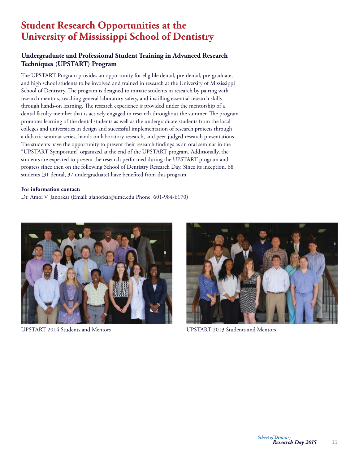## **Student Research Opportunities at the University of Mississippi School of Dentistry**

## **Undergraduate and Professional Student Training in Advanced Research Techniques (UPSTART) Program**

The UPSTART Program provides an opportunity for eligible dental, pre-dental, pre-graduate, and high school students to be involved and trained in research at the University of Mississippi School of Dentistry. The program is designed to initiate students in research by pairing with research mentors, teaching general laboratory safety, and instilling essential research skills through hands-on learning. The research experience is provided under the mentorship of a dental faculty member that is actively engaged in research throughout the summer. The program promotes learning of the dental students as well as the undergraduate students from the local colleges and universities in design and successful implementation of research projects through a didactic seminar series, hands-on laboratory research, and peer-judged research presentations. The students have the opportunity to present their research findings as an oral seminar in the "UPSTART Symposium" organized at the end of the UPSTART program. Additionally, the students are expected to present the research performed during the UPSTART program and progress since then on the following School of Dentistry Research Day. Since its inception, 68 students (31 dental, 37 undergraduate) have benefited from this program.

### **For information contact:**

Dr. Amol V. Janorkar (Email: ajanorkar@umc.edu Phone: 601-984-6170)



UPSTART 2014 Students and Mentors UPSTART 2013 Students and Mentors

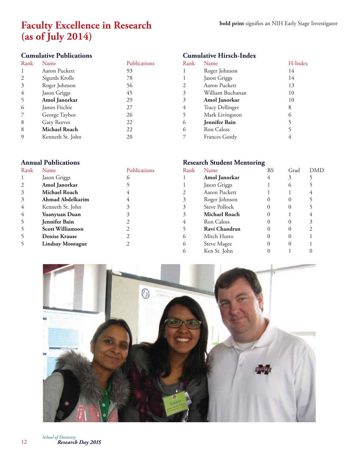## **Faculty Excellence in Research (as of July 2014)**

## **Cumulative Publications**

| Rank | Name                 | Publications |
|------|----------------------|--------------|
| 1    | Aaron Puckett        | 93           |
| 2    | Sigurds Krolls       | 78           |
| 3    | Roger Johnson        | 56           |
| 4    | Jason Griggs         | 45           |
| 5    | Amol Janorkar        | 29           |
| 6    | James Fitchie        | 27           |
|      | George Taybos        | 26           |
| 8    | Gary Reeves          | 22           |
| 8    | <b>Michael Roach</b> | 22           |
| 9    | Kenneth St. John     | 20           |

# **Cumulative Hirsch-Index**

| Rank | Name                   | H-Index |
|------|------------------------|---------|
| 1    | Roger Johnson          | 14      |
| 1    | Jason Griggs           | 14      |
| 2    | Aaron Puckett          | 13      |
| 3    | William Buchanan       | 10      |
| 3    | Amol Janorkar          | 10      |
| 4    | <b>Tracy Dellinger</b> | 8       |
| 5    | Mark Livingston        | 6       |
| 6    | <b>Jennifer Bain</b>   | 5       |
| 6    | Ron Caloss             | 5       |
| 7    | Frances Gordy          | 4       |

| <b>Annual Publications</b> |                         |              | <b>Research Student Mentoring</b> |               |    |          |            |
|----------------------------|-------------------------|--------------|-----------------------------------|---------------|----|----------|------------|
| Rank                       | <b>Name</b>             | Publications | Rank                              | Name          | BS | Grad     | <b>DMD</b> |
|                            | Jason Griggs            | $\circ$      |                                   | Amol Janorkar | 4  | 3        |            |
| 2                          | Amol Janorkar           |              |                                   | Jason Griggs  |    | $\Omega$ |            |
| 3                          | Michael Roach           |              |                                   | Aaron Puckett |    |          |            |
| 3                          | <b>Ahmad Abdelkarim</b> |              |                                   | Roger Johnson |    |          |            |
| 4                          | Kenneth St. John        |              |                                   | Steve Pollock |    |          |            |
| 4                          | Yuanyuan Duan           |              |                                   | Michael Roach |    |          |            |
| 5                          | <b>Jennifer Bain</b>    |              | 4                                 | Ron Caloss    |    |          |            |
| 5                          | <b>Scott Williamson</b> |              |                                   | Ravi Chandran |    |          |            |
| 5                          | <b>Denise Krause</b>    |              | $\circ$                           | Mitch Hutto   |    |          |            |
| 5                          | <b>Lindsay Montague</b> |              | $\circ$                           | Steve Magee   |    |          |            |
|                            |                         |              | $\circ$                           | Ken St. John  |    |          |            |